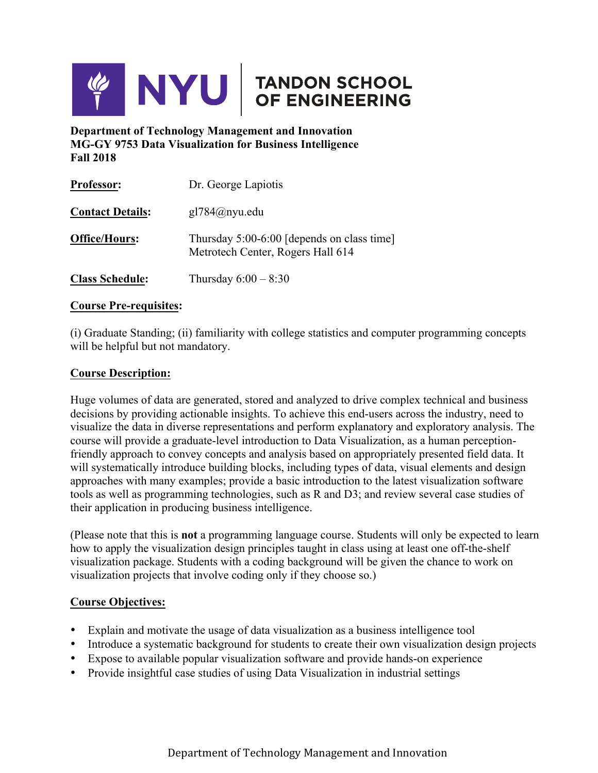

**Department of Technology Management and Innovation MG-GY 9753 Data Visualization for Business Intelligence Fall 2018**

| <b>Professor:</b>       | Dr. George Lapiotis                                                             |  |
|-------------------------|---------------------------------------------------------------------------------|--|
| <b>Contact Details:</b> | $gl784@n$ yu.edu                                                                |  |
| <b>Office/Hours:</b>    | Thursday 5:00-6:00 [depends on class time]<br>Metrotech Center, Rogers Hall 614 |  |
| <b>Class Schedule:</b>  | Thursday $6:00 - 8:30$                                                          |  |

#### **Course Pre-requisites:**

(i) Graduate Standing; (ii) familiarity with college statistics and computer programming concepts will be helpful but not mandatory.

#### **Course Description:**

Huge volumes of data are generated, stored and analyzed to drive complex technical and business decisions by providing actionable insights. To achieve this end-users across the industry, need to visualize the data in diverse representations and perform explanatory and exploratory analysis. The course will provide a graduate-level introduction to Data Visualization, as a human perceptionfriendly approach to convey concepts and analysis based on appropriately presented field data. It will systematically introduce building blocks, including types of data, visual elements and design approaches with many examples; provide a basic introduction to the latest visualization software tools as well as programming technologies, such as R and D3; and review several case studies of their application in producing business intelligence.

(Please note that this is **not** a programming language course. Students will only be expected to learn how to apply the visualization design principles taught in class using at least one off-the-shelf visualization package. Students with a coding background will be given the chance to work on visualization projects that involve coding only if they choose so.)

# **Course Objectives:**

- Explain and motivate the usage of data visualization as a business intelligence tool
- Introduce a systematic background for students to create their own visualization design projects
- Expose to available popular visualization software and provide hands-on experience
- Provide insightful case studies of using Data Visualization in industrial settings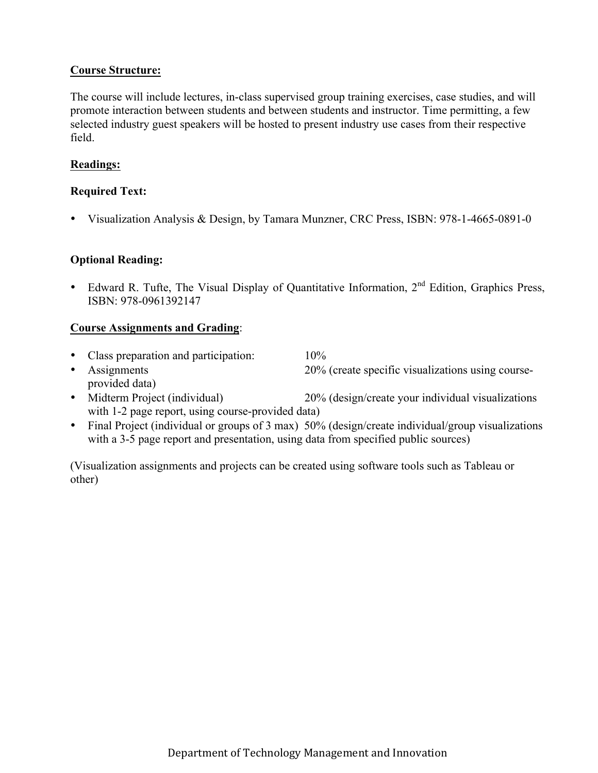# **Course Structure:**

The course will include lectures, in-class supervised group training exercises, case studies, and will promote interaction between students and between students and instructor. Time permitting, a few selected industry guest speakers will be hosted to present industry use cases from their respective field.

# **Readings:**

#### **Required Text:**

• Visualization Analysis & Design, by Tamara Munzner, CRC Press, ISBN: 978-1-4665-0891-0

#### **Optional Reading:**

• Edward R. Tufte, The Visual Display of Quantitative Information, 2<sup>nd</sup> Edition, Graphics Press, ISBN: 978-0961392147

#### **Course Assignments and Grading**:

- Class preparation and participation: 10%
- Assignments 20% (create specific visualizations using courseprovided data)
- Midterm Project (individual) 20% (design/create your individual visualizations with 1-2 page report, using course-provided data)
- Final Project (individual or groups of 3 max) 50% (design/create individual/group visualizations with a 3-5 page report and presentation, using data from specified public sources)

(Visualization assignments and projects can be created using software tools such as Tableau or other)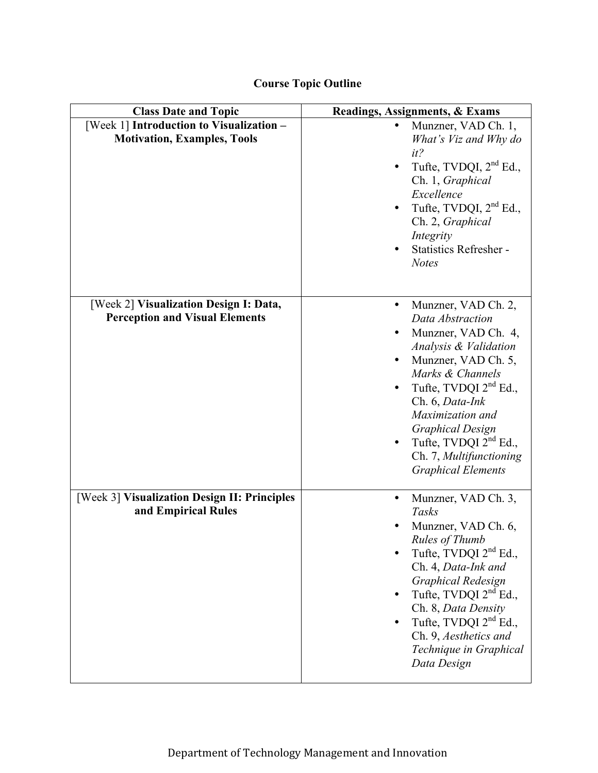| <b>Class Date and Topic</b>                                                     | <b>Readings, Assignments, &amp; Exams</b>                                                                                                                                                                                                                                                                          |
|---------------------------------------------------------------------------------|--------------------------------------------------------------------------------------------------------------------------------------------------------------------------------------------------------------------------------------------------------------------------------------------------------------------|
| [Week 1] Introduction to Visualization -<br><b>Motivation, Examples, Tools</b>  | Munzner, VAD Ch. 1,<br>$\bullet$<br>What's Viz and Why do<br>$it$ ?<br>Tufte, TVDQI, $2nd$ Ed.,<br>Ch. 1, Graphical<br>Excellence<br>Tufte, TVDQI, $2nd$ Ed.,<br>Ch. 2, Graphical<br>Integrity<br><b>Statistics Refresher -</b><br><b>Notes</b>                                                                    |
| [Week 2] Visualization Design I: Data,<br><b>Perception and Visual Elements</b> | Munzner, VAD Ch. 2,<br>Data Abstraction<br>Munzner, VAD Ch. 4,<br>Analysis & Validation<br>Munzner, VAD Ch. 5,<br>Marks & Channels<br>Tufte, TVDQI $2nd$ Ed.,<br>Ch. 6, Data-Ink<br>Maximization and<br><b>Graphical Design</b><br>Tufte, TVDQI $2nd$ Ed.,<br>Ch. 7, Multifunctioning<br><b>Graphical Elements</b> |
| [Week 3] Visualization Design II: Principles<br>and Empirical Rules             | Munzner, VAD Ch. 3,<br>Tasks<br>Munzner, VAD Ch. 6,<br>Rules of Thumb<br>Tufte, TVDQI 2 <sup>nd</sup> Ed.,<br>Ch. 4, Data-Ink and<br>Graphical Redesign<br>Tufte, TVDQI $2nd$ Ed.,<br>Ch. 8, Data Density<br>Tufte, TVDQI 2 <sup>nd</sup> Ed.,<br>Ch. 9, Aesthetics and<br>Technique in Graphical<br>Data Design   |

# **Course Topic Outline**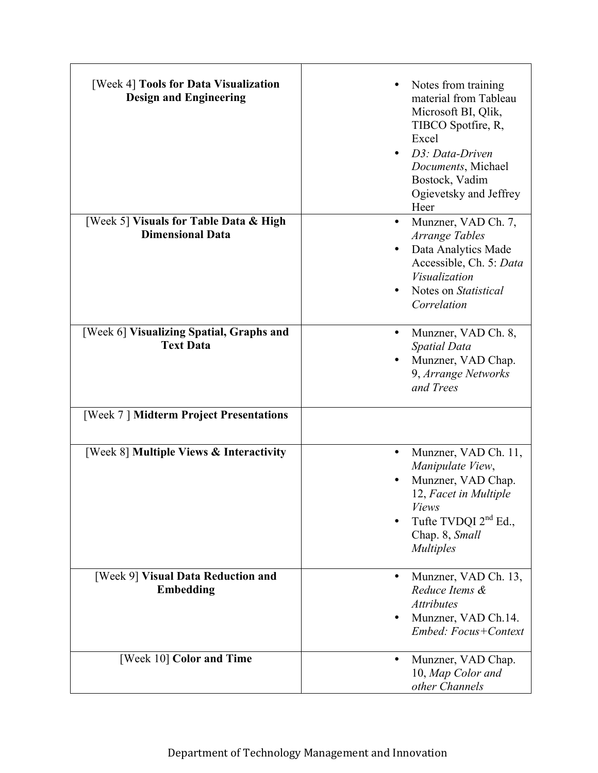| [Week 4] Tools for Data Visualization<br><b>Design and Engineering</b> | Notes from training<br>material from Tableau<br>Microsoft BI, Qlik,<br>TIBCO Spotfire, R,<br>Excel<br>D3: Data-Driven<br>Documents, Michael<br>Bostock, Vadim<br>Ogievetsky and Jeffrey<br>Heer |
|------------------------------------------------------------------------|-------------------------------------------------------------------------------------------------------------------------------------------------------------------------------------------------|
| [Week 5] Visuals for Table Data & High<br><b>Dimensional Data</b>      | Munzner, VAD Ch. 7,<br>$\bullet$<br>Arrange Tables<br>Data Analytics Made<br>Accessible, Ch. 5: Data<br>Visualization<br>Notes on Statistical<br>Correlation                                    |
| [Week 6] Visualizing Spatial, Graphs and<br><b>Text Data</b>           | Munzner, VAD Ch. 8,<br>$\bullet$<br>Spatial Data<br>Munzner, VAD Chap.<br>9, Arrange Networks<br>and Trees                                                                                      |
| [Week 7] Midterm Project Presentations                                 |                                                                                                                                                                                                 |
| [Week 8] Multiple Views & Interactivity                                | Munzner, VAD Ch. 11,<br>٠<br>Manipulate View,<br>Munzner, VAD Chap.<br>12, Facet in Multiple<br><i>Views</i><br>Tufte TVDQI $2nd$ Ed.,<br>Chap. 8, Small<br><i>Multiples</i>                    |
| [Week 9] Visual Data Reduction and<br><b>Embedding</b>                 | Munzner, VAD Ch. 13,<br>$\bullet$<br>Reduce Items &<br><b>Attributes</b><br>Munzner, VAD Ch.14.<br>Embed: Focus+Context                                                                         |
| [Week 10] Color and Time                                               | Munzner, VAD Chap.<br>10, Map Color and<br>other Channels                                                                                                                                       |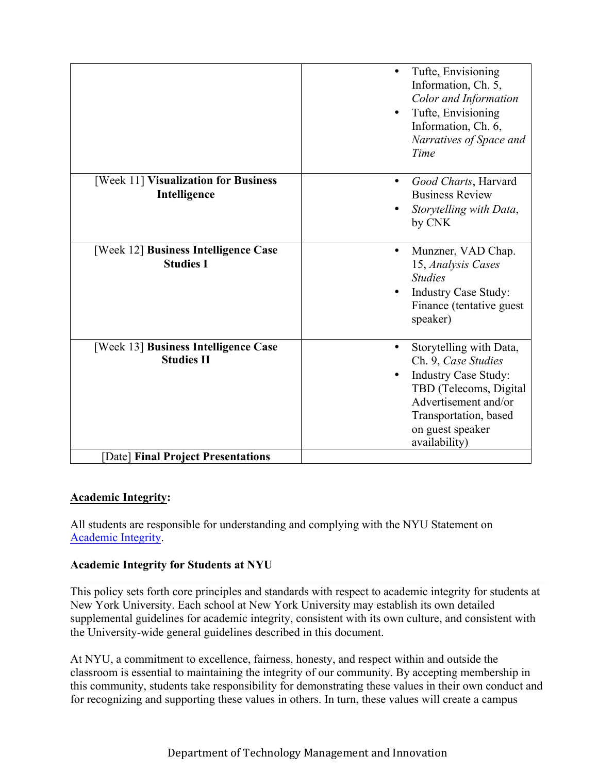|                                                           | Tufte, Envisioning<br>Information, Ch. 5,<br>Color and Information<br>Tufte, Envisioning<br>Information, Ch. 6,<br>Narratives of Space and<br>Time                                            |
|-----------------------------------------------------------|-----------------------------------------------------------------------------------------------------------------------------------------------------------------------------------------------|
| [Week 11] Visualization for Business<br>Intelligence      | Good Charts, Harvard<br>$\bullet$<br><b>Business Review</b><br>Storytelling with Data,<br>by CNK                                                                                              |
| [Week 12] Business Intelligence Case<br><b>Studies I</b>  | Munzner, VAD Chap.<br>15, Analysis Cases<br><b>Studies</b><br><b>Industry Case Study:</b><br>Finance (tentative guest<br>speaker)                                                             |
| [Week 13] Business Intelligence Case<br><b>Studies II</b> | Storytelling with Data,<br>Ch. 9, Case Studies<br><b>Industry Case Study:</b><br>TBD (Telecoms, Digital<br>Advertisement and/or<br>Transportation, based<br>on guest speaker<br>availability) |
| [Date] Final Project Presentations                        |                                                                                                                                                                                               |

# **Academic Integrity:**

All students are responsible for understanding and complying with the NYU Statement on Academic Integrity.

# **Academic Integrity for Students at NYU**

This policy sets forth core principles and standards with respect to academic integrity for students at New York University. Each school at New York University may establish its own detailed supplemental guidelines for academic integrity, consistent with its own culture, and consistent with the University-wide general guidelines described in this document.

At NYU, a commitment to excellence, fairness, honesty, and respect within and outside the classroom is essential to maintaining the integrity of our community. By accepting membership in this community, students take responsibility for demonstrating these values in their own conduct and for recognizing and supporting these values in others. In turn, these values will create a campus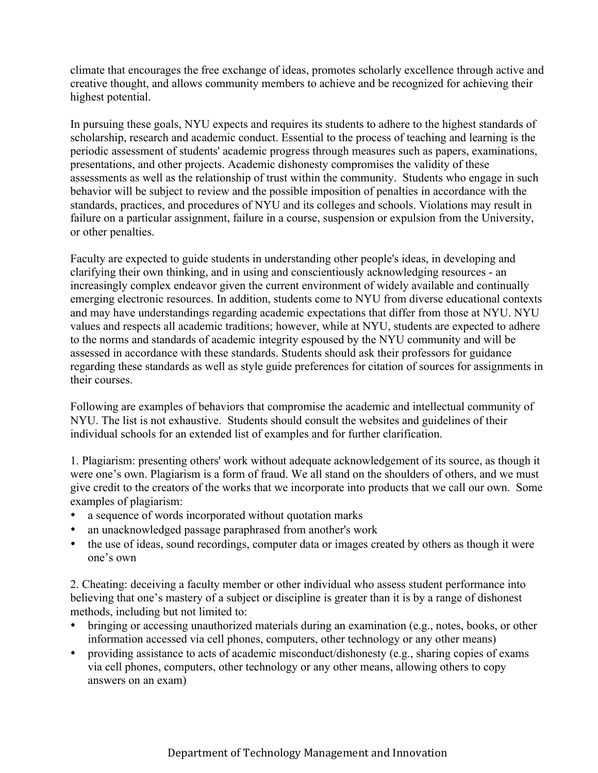climate that encourages the free exchange of ideas, promotes scholarly excellence through active and creative thought, and allows community members to achieve and be recognized for achieving their highest potential.

In pursuing these goals, NYU expects and requires its students to adhere to the highest standards of scholarship, research and academic conduct. Essential to the process of teaching and learning is the periodic assessment of students' academic progress through measures such as papers, examinations, presentations, and other projects. Academic dishonesty compromises the validity of these assessments as well as the relationship of trust within the community. Students who engage in such behavior will be subject to review and the possible imposition of penalties in accordance with the standards, practices, and procedures of NYU and its colleges and schools. Violations may result in failure on a particular assignment, failure in a course, suspension or expulsion from the University, or other penalties.

Faculty are expected to guide students in understanding other people's ideas, in developing and clarifying their own thinking, and in using and conscientiously acknowledging resources - an increasingly complex endeavor given the current environment of widely available and continually emerging electronic resources. In addition, students come to NYU from diverse educational contexts and may have understandings regarding academic expectations that differ from those at NYU. NYU values and respects all academic traditions; however, while at NYU, students are expected to adhere to the norms and standards of academic integrity espoused by the NYU community and will be assessed in accordance with these standards. Students should ask their professors for guidance regarding these standards as well as style guide preferences for citation of sources for assignments in their courses.

Following are examples of behaviors that compromise the academic and intellectual community of NYU. The list is not exhaustive. Students should consult the websites and guidelines of their individual schools for an extended list of examples and for further clarification.

1. Plagiarism: presenting others' work without adequate acknowledgement of its source, as though it were one's own. Plagiarism is a form of fraud. We all stand on the shoulders of others, and we must give credit to the creators of the works that we incorporate into products that we call our own. Some examples of plagiarism:

- a sequence of words incorporated without quotation marks
- an unacknowledged passage paraphrased from another's work
- the use of ideas, sound recordings, computer data or images created by others as though it were one's own

2. Cheating: deceiving a faculty member or other individual who assess student performance into believing that one's mastery of a subject or discipline is greater than it is by a range of dishonest methods, including but not limited to:

- bringing or accessing unauthorized materials during an examination (e.g., notes, books, or other information accessed via cell phones, computers, other technology or any other means)
- providing assistance to acts of academic misconduct/dishonesty (e.g., sharing copies of exams via cell phones, computers, other technology or any other means, allowing others to copy answers on an exam)